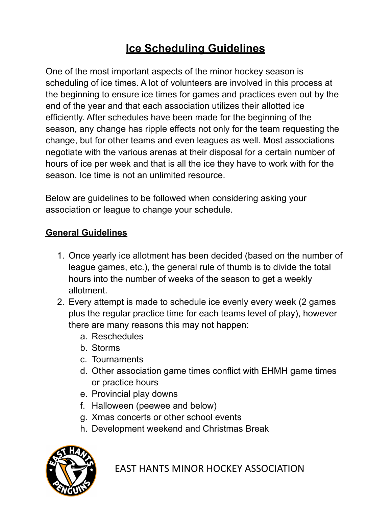# **Ice Scheduling Guidelines**

One of the most important aspects of the minor hockey season is scheduling of ice times. A lot of volunteers are involved in this process at the beginning to ensure ice times for games and practices even out by the end of the year and that each association utilizes their allotted ice efficiently. After schedules have been made for the beginning of the season, any change has ripple effects not only for the team requesting the change, but for other teams and even leagues as well. Most associations negotiate with the various arenas at their disposal for a certain number of hours of ice per week and that is all the ice they have to work with for the season. Ice time is not an unlimited resource.

Below are guidelines to be followed when considering asking your association or league to change your schedule.

#### **General Guidelines**

- 1. Once yearly ice allotment has been decided (based on the number of league games, etc.), the general rule of thumb is to divide the total hours into the number of weeks of the season to get a weekly allotment.
- 2. Every attempt is made to schedule ice evenly every week (2 games plus the regular practice time for each teams level of play), however there are many reasons this may not happen:
	- a. Reschedules
	- b. Storms
	- c. Tournaments
	- d. Other association game times conflict with EHMH game times or practice hours
	- e. Provincial play downs
	- f. Halloween (peewee and below)
	- g. Xmas concerts or other school events
	- h. Development weekend and Christmas Break



EAST HANTS MINOR HOCKEY ASSOCIATION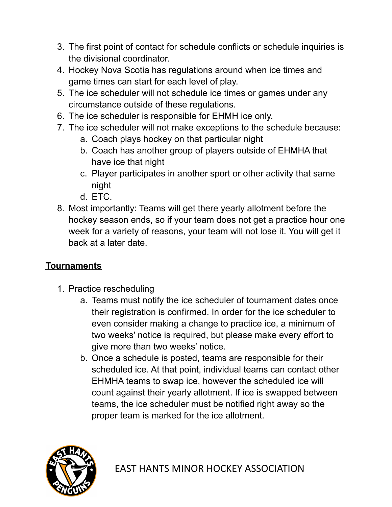- 3. The first point of contact for schedule conflicts or schedule inquiries is the divisional coordinator.
- 4. Hockey Nova Scotia has regulations around when ice times and game times can start for each level of play.
- 5. The ice scheduler will not schedule ice times or games under any circumstance outside of these regulations.
- 6. The ice scheduler is responsible for EHMH ice only.
- 7. The ice scheduler will not make exceptions to the schedule because:
	- a. Coach plays hockey on that particular night
	- b. Coach has another group of players outside of EHMHA that have ice that night
	- c. Player participates in another sport or other activity that same night
	- d. ETC.
- 8. Most importantly: Teams will get there yearly allotment before the hockey season ends, so if your team does not get a practice hour one week for a variety of reasons, your team will not lose it. You will get it back at a later date.

#### **Tournaments**

- 1. Practice rescheduling
	- a. Teams must notify the ice scheduler of tournament dates once their registration is confirmed. In order for the ice scheduler to even consider making a change to practice ice, a minimum of two weeks' notice is required, but please make every effort to give more than two weeks' notice.
	- b. Once a schedule is posted, teams are responsible for their scheduled ice. At that point, individual teams can contact other EHMHA teams to swap ice, however the scheduled ice will count against their yearly allotment. If ice is swapped between teams, the ice scheduler must be notified right away so the proper team is marked for the ice allotment.

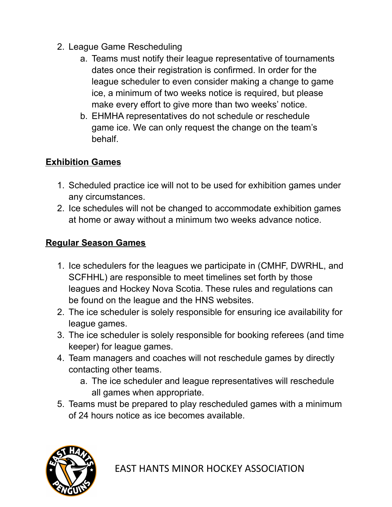- 2. League Game Rescheduling
	- a. Teams must notify their league representative of tournaments dates once their registration is confirmed. In order for the league scheduler to even consider making a change to game ice, a minimum of two weeks notice is required, but please make every effort to give more than two weeks' notice.
	- b. EHMHA representatives do not schedule or reschedule game ice. We can only request the change on the team's behalf.

#### **Exhibition Games**

- 1. Scheduled practice ice will not to be used for exhibition games under any circumstances.
- 2. Ice schedules will not be changed to accommodate exhibition games at home or away without a minimum two weeks advance notice.

### **Regular Season Games**

- 1. Ice schedulers for the leagues we participate in (CMHF, DWRHL, and SCFHHL) are responsible to meet timelines set forth by those leagues and Hockey Nova Scotia. These rules and regulations can be found on the league and the HNS websites.
- 2. The ice scheduler is solely responsible for ensuring ice availability for league games.
- 3. The ice scheduler is solely responsible for booking referees (and time keeper) for league games.
- 4. Team managers and coaches will not reschedule games by directly contacting other teams.
	- a. The ice scheduler and league representatives will reschedule all games when appropriate.
- 5. Teams must be prepared to play rescheduled games with a minimum of 24 hours notice as ice becomes available.

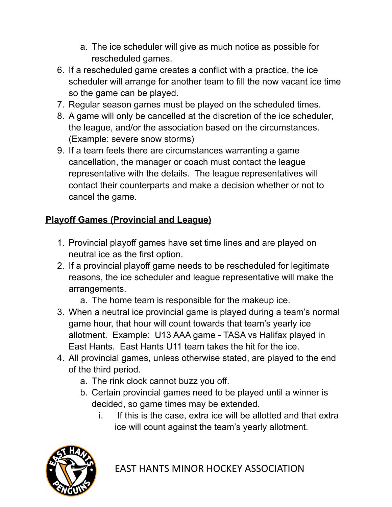- a. The ice scheduler will give as much notice as possible for rescheduled games.
- 6. If a rescheduled game creates a conflict with a practice, the ice scheduler will arrange for another team to fill the now vacant ice time so the game can be played.
- 7. Regular season games must be played on the scheduled times.
- 8. A game will only be cancelled at the discretion of the ice scheduler, the league, and/or the association based on the circumstances. (Example: severe snow storms)
- 9. If a team feels there are circumstances warranting a game cancellation, the manager or coach must contact the league representative with the details. The league representatives will contact their counterparts and make a decision whether or not to cancel the game.

## **Playoff Games (Provincial and League)**

- 1. Provincial playoff games have set time lines and are played on neutral ice as the first option.
- 2. If a provincial playoff game needs to be rescheduled for legitimate reasons, the ice scheduler and league representative will make the arrangements.
	- a. The home team is responsible for the makeup ice.
- 3. When a neutral ice provincial game is played during a team's normal game hour, that hour will count towards that team's yearly ice allotment. Example: U13 AAA game - TASA vs Halifax played in East Hants. East Hants U11 team takes the hit for the ice.
- 4. All provincial games, unless otherwise stated, are played to the end of the third period.
	- a. The rink clock cannot buzz you off.
	- b. Certain provincial games need to be played until a winner is decided, so game times may be extended.
		- i. If this is the case, extra ice will be allotted and that extra ice will count against the team's yearly allotment.



EAST HANTS MINOR HOCKEY ASSOCIATION